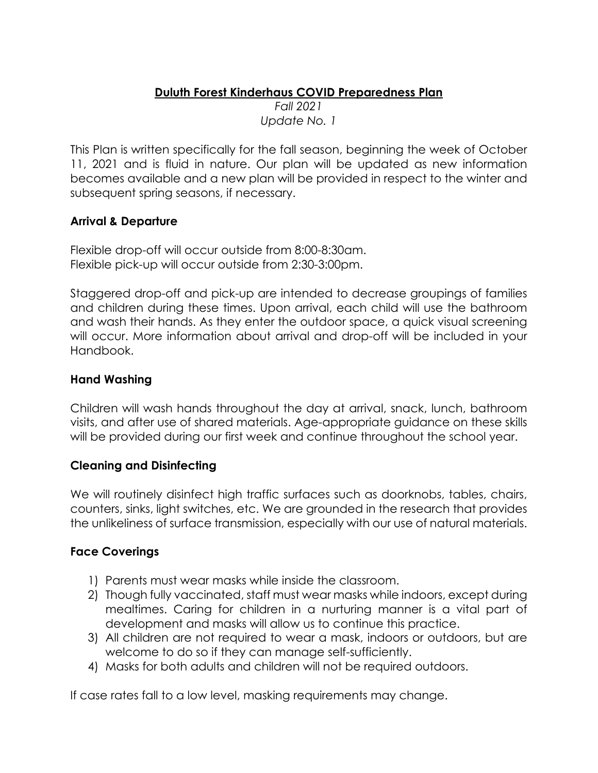### **Duluth Forest Kinderhaus COVID Preparedness Plan**  *Fall 2021 Update No. 1*

This Plan is written specifically for the fall season, beginning the week of October 11, 2021 and is fluid in nature. Our plan will be updated as new information becomes available and a new plan will be provided in respect to the winter and subsequent spring seasons, if necessary.

# **Arrival & Departure**

Flexible drop-off will occur outside from 8:00-8:30am. Flexible pick-up will occur outside from 2:30-3:00pm.

Staggered drop-off and pick-up are intended to decrease groupings of families and children during these times. Upon arrival, each child will use the bathroom and wash their hands. As they enter the outdoor space, a quick visual screening will occur. More information about arrival and drop-off will be included in your Handbook.

# **Hand Washing**

Children will wash hands throughout the day at arrival, snack, lunch, bathroom visits, and after use of shared materials. Age-appropriate guidance on these skills will be provided during our first week and continue throughout the school year.

# **Cleaning and Disinfecting**

We will routinely disinfect high traffic surfaces such as doorknobs, tables, chairs, counters, sinks, light switches, etc. We are grounded in the research that provides the unlikeliness of surface transmission, especially with our use of natural materials.

# **Face Coverings**

- 1) Parents must wear masks while inside the classroom.
- 2) Though fully vaccinated, staff must wear masks while indoors, except during mealtimes. Caring for children in a nurturing manner is a vital part of development and masks will allow us to continue this practice.
- 3) All children are not required to wear a mask, indoors or outdoors, but are welcome to do so if they can manage self-sufficiently.
- 4) Masks for both adults and children will not be required outdoors.

If case rates fall to a low level, masking requirements may change.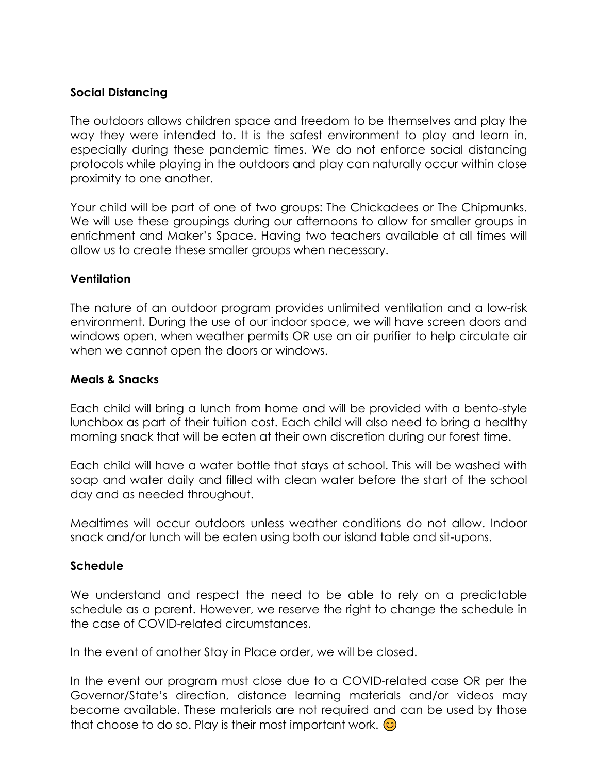# **Social Distancing**

The outdoors allows children space and freedom to be themselves and play the way they were intended to. It is the safest environment to play and learn in, especially during these pandemic times. We do not enforce social distancing protocols while playing in the outdoors and play can naturally occur within close proximity to one another.

Your child will be part of one of two groups: The Chickadees or The Chipmunks. We will use these groupings during our afternoons to allow for smaller groups in enrichment and Maker's Space. Having two teachers available at all times will allow us to create these smaller groups when necessary.

### **Ventilation**

The nature of an outdoor program provides unlimited ventilation and a low-risk environment. During the use of our indoor space, we will have screen doors and windows open, when weather permits OR use an air purifier to help circulate air when we cannot open the doors or windows.

#### **Meals & Snacks**

Each child will bring a lunch from home and will be provided with a bento-style lunchbox as part of their tuition cost. Each child will also need to bring a healthy morning snack that will be eaten at their own discretion during our forest time.

Each child will have a water bottle that stays at school. This will be washed with soap and water daily and filled with clean water before the start of the school day and as needed throughout.

Mealtimes will occur outdoors unless weather conditions do not allow. Indoor snack and/or lunch will be eaten using both our island table and sit-upons.

# **Schedule**

We understand and respect the need to be able to rely on a predictable schedule as a parent. However, we reserve the right to change the schedule in the case of COVID-related circumstances.

In the event of another Stay in Place order, we will be closed.

In the event our program must close due to a COVID-related case OR per the Governor/State's direction, distance learning materials and/or videos may become available. These materials are not required and can be used by those that choose to do so. Play is their most important work.  $\odot$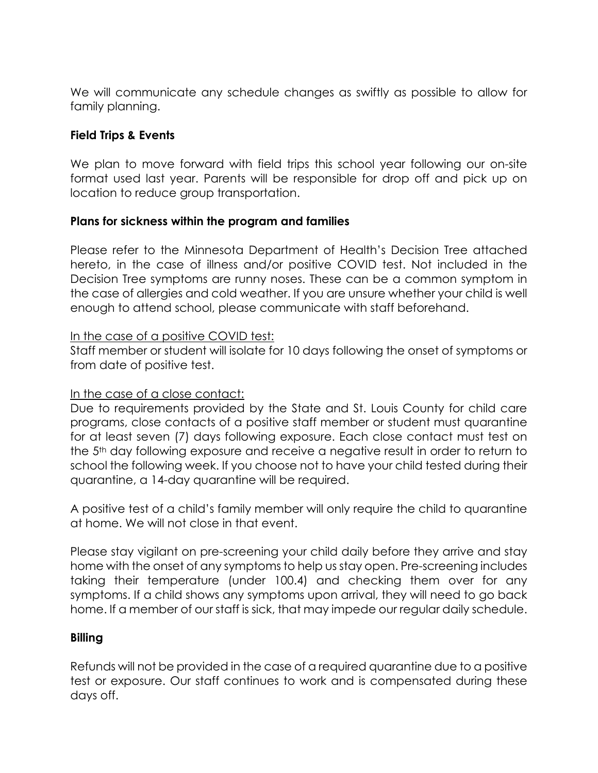We will communicate any schedule changes as swiftly as possible to allow for family planning.

# **Field Trips & Events**

We plan to move forward with field trips this school year following our on-site format used last year. Parents will be responsible for drop off and pick up on location to reduce group transportation.

### **Plans for sickness within the program and families**

Please refer to the Minnesota Department of Health's Decision Tree attached hereto, in the case of illness and/or positive COVID test. Not included in the Decision Tree symptoms are runny noses. These can be a common symptom in the case of allergies and cold weather. If you are unsure whether your child is well enough to attend school, please communicate with staff beforehand.

### In the case of a positive COVID test:

Staff member or student will isolate for 10 days following the onset of symptoms or from date of positive test.

#### In the case of a close contact:

Due to requirements provided by the State and St. Louis County for child care programs, close contacts of a positive staff member or student must quarantine for at least seven (7) days following exposure. Each close contact must test on the 5th day following exposure and receive a negative result in order to return to school the following week. If you choose not to have your child tested during their quarantine, a 14-day quarantine will be required.

A positive test of a child's family member will only require the child to quarantine at home. We will not close in that event.

Please stay vigilant on pre-screening your child daily before they arrive and stay home with the onset of any symptoms to help us stay open. Pre-screening includes taking their temperature (under 100.4) and checking them over for any symptoms. If a child shows any symptoms upon arrival, they will need to go back home. If a member of our staff is sick, that may impede our regular daily schedule.

#### **Billing**

Refunds will not be provided in the case of a required quarantine due to a positive test or exposure. Our staff continues to work and is compensated during these days off.